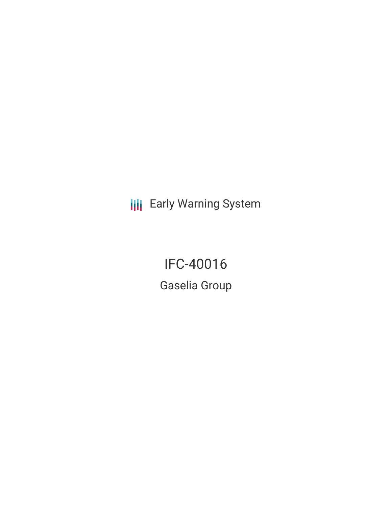**III** Early Warning System

IFC-40016 Gaselia Group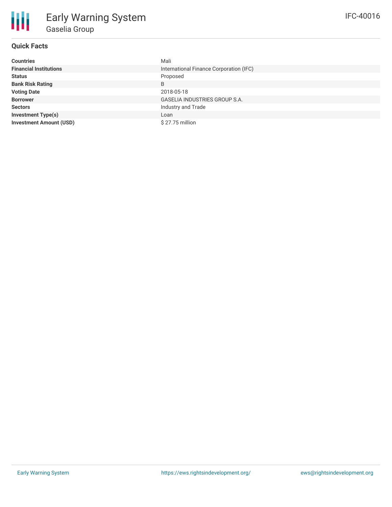# **Quick Facts**

| <b>Countries</b>               | Mali                                    |  |  |  |
|--------------------------------|-----------------------------------------|--|--|--|
| <b>Financial Institutions</b>  | International Finance Corporation (IFC) |  |  |  |
| <b>Status</b>                  | Proposed                                |  |  |  |
| <b>Bank Risk Rating</b>        | B                                       |  |  |  |
| <b>Voting Date</b>             | 2018-05-18                              |  |  |  |
| <b>Borrower</b>                | <b>GASELIA INDUSTRIES GROUP S.A.</b>    |  |  |  |
| <b>Sectors</b>                 | Industry and Trade                      |  |  |  |
| <b>Investment Type(s)</b>      | Loan                                    |  |  |  |
| <b>Investment Amount (USD)</b> | $$27.75$ million                        |  |  |  |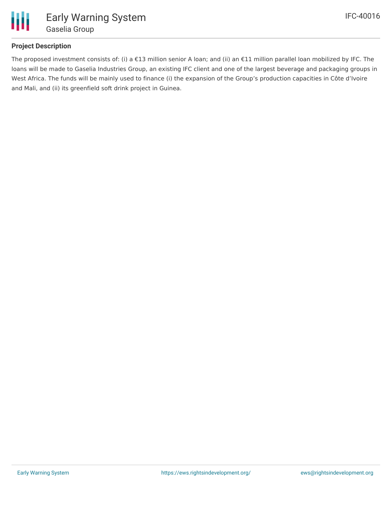

## **Project Description**

The proposed investment consists of: (i) a €13 million senior A loan; and (ii) an €11 million parallel loan mobilized by IFC. The loans will be made to Gaselia Industries Group, an existing IFC client and one of the largest beverage and packaging groups in West Africa. The funds will be mainly used to finance (i) the expansion of the Group's production capacities in Côte d'Ivoire and Mali, and (ii) its greenfield soft drink project in Guinea.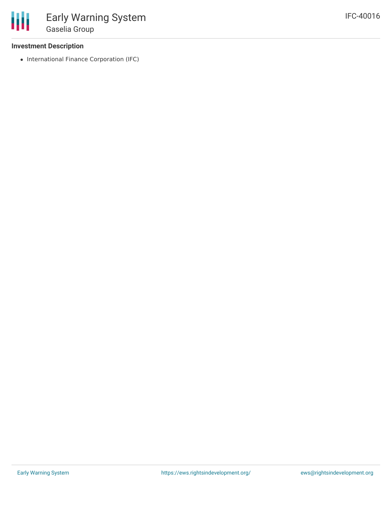### **Investment Description**

• International Finance Corporation (IFC)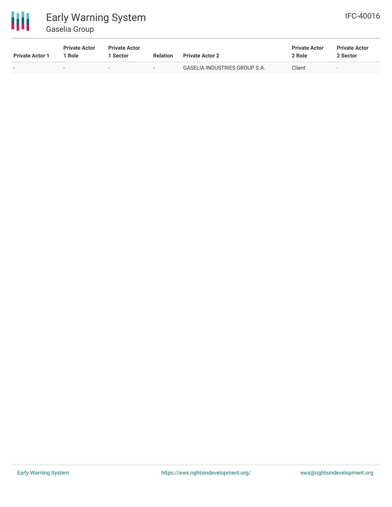

# Early Warning System Gaselia Group

| IFC-40016 |
|-----------|
|-----------|

| <b>Private Actor 1</b> | <b>Private Actor</b><br>1 Role | <b>Private Actor</b><br>Sector | <b>Relation</b>          | <b>Private Actor 2</b>               | <b>Private Actor</b><br>2 Role | <b>Private Actor</b><br>2 Sector |  |
|------------------------|--------------------------------|--------------------------------|--------------------------|--------------------------------------|--------------------------------|----------------------------------|--|
|                        | $\overline{\phantom{a}}$       | $\overline{\phantom{0}}$       | $\overline{\phantom{0}}$ | <b>GASELIA INDUSTRIES GROUP S.A.</b> | Client                         |                                  |  |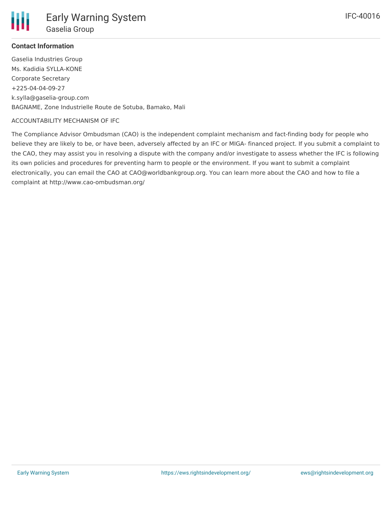### **Contact Information**

Gaselia Industries Group Ms. Kadidia SYLLA-KONE Corporate Secretary +225-04-04-09-27 k.sylla@gaselia-group.com BAGNAME, Zone Industrielle Route de Sotuba, Bamako, Mali

#### ACCOUNTABILITY MECHANISM OF IFC

The Compliance Advisor Ombudsman (CAO) is the independent complaint mechanism and fact-finding body for people who believe they are likely to be, or have been, adversely affected by an IFC or MIGA- financed project. If you submit a complaint to the CAO, they may assist you in resolving a dispute with the company and/or investigate to assess whether the IFC is following its own policies and procedures for preventing harm to people or the environment. If you want to submit a complaint electronically, you can email the CAO at CAO@worldbankgroup.org. You can learn more about the CAO and how to file a complaint at http://www.cao-ombudsman.org/